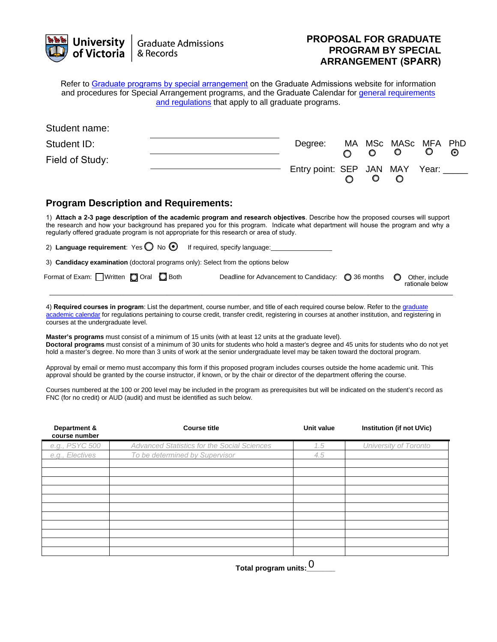| <b>University</b><br>of Victoria                                                                                                                                                                                                                                                                                                                                   | <b>Graduate Admissions</b><br>& Records |                                                      | <b>PROPOSAL FOR GRADUATE</b><br><b>PROGRAM BY SPECIAL</b><br><b>ARRANGEMENT (SPARR)</b> |                                                    |  |   |                        |                                   |                 |
|--------------------------------------------------------------------------------------------------------------------------------------------------------------------------------------------------------------------------------------------------------------------------------------------------------------------------------------------------------------------|-----------------------------------------|------------------------------------------------------|-----------------------------------------------------------------------------------------|----------------------------------------------------|--|---|------------------------|-----------------------------------|-----------------|
| Refer to Graduate programs by special arrangement on the Graduate Admissions website for information<br>and procedures for Special Arrangement programs, and the Graduate Calendar for general requirements                                                                                                                                                        |                                         | and regulations that apply to all graduate programs. |                                                                                         |                                                    |  |   |                        |                                   |                 |
| Student name:                                                                                                                                                                                                                                                                                                                                                      |                                         |                                                      |                                                                                         |                                                    |  |   |                        |                                   |                 |
| Student ID:                                                                                                                                                                                                                                                                                                                                                        |                                         |                                                      |                                                                                         | Degree:                                            |  |   | MA MSc MASc<br>$\circ$ | MFA<br>O                          | <b>PhD</b><br>O |
| Field of Study:                                                                                                                                                                                                                                                                                                                                                    |                                         |                                                      |                                                                                         | Entry point: SEP JAN MAY Year:                     |  | O |                        |                                   |                 |
| <b>Program Description and Requirements:</b>                                                                                                                                                                                                                                                                                                                       |                                         |                                                      |                                                                                         |                                                    |  |   |                        |                                   |                 |
| 1) Attach a 2-3 page description of the academic program and research objectives. Describe how the proposed courses will support<br>the research and how your background has prepared you for this program. Indicate what department will house the program and why a<br>regularly offered graduate program is not appropriate for this research or area of study. |                                         |                                                      |                                                                                         |                                                    |  |   |                        |                                   |                 |
| 2) Language requirement: Yes $\bigcirc$ No $\bigcirc$                                                                                                                                                                                                                                                                                                              |                                         | If required, specify language:                       |                                                                                         |                                                    |  |   |                        |                                   |                 |
| 3) Candidacy examination (doctoral programs only): Select from the options below                                                                                                                                                                                                                                                                                   |                                         |                                                      |                                                                                         |                                                    |  |   |                        |                                   |                 |
| Format of Exam: $\Box$ Written $\Box$ Oral $\Box$ Both                                                                                                                                                                                                                                                                                                             |                                         |                                                      |                                                                                         | Deadline for Advancement to Candidacy: ◯ 36 months |  |   |                        | Other, include<br>rationale below |                 |

4) Required courses in program: List the department, course number, and title of each required course below. Refer to the graduate [academic calendar for regulations pertaining to course credit, transfer credit, registering in](https://web.uvic.ca/calendar/grad/academic-regulations/credit.html) courses at another institution, and registering in courses at the undergraduate level.

**Master's programs** must consist of a minimum of 15 units (with at least 12 units at the graduate level). **Doctoral programs** must consist of a minimum of 30 units for students who hold a master's degree and 45 units for students who do not yet hold a master's degree. No more than 3 units of work at the senior undergraduate level may be taken toward the doctoral program.

Approval by email or memo must accompany this form if this proposed program includes courses outside the home academic unit. This approval should be granted by the course instructor, if known, or by the chair or director of the department offering the course.

Courses numbered at the 100 or 200 level may be included in the program as prerequisites but will be indicated on the student's record as FNC (for no credit) or AUD (audit) and must be identified as such below.

| Department &<br>course number | <b>Course title</b>                         | Unit value | Institution (if not UVic) |
|-------------------------------|---------------------------------------------|------------|---------------------------|
| e.g., PSYC 500                | Advanced Statistics for the Social Sciences | 1.5        | University of Toronto     |
| e.g., Electives               | To be determined by Supervisor              | 4.5        |                           |
|                               |                                             |            |                           |
|                               |                                             |            |                           |
|                               |                                             |            |                           |
|                               |                                             |            |                           |
|                               |                                             |            |                           |
|                               |                                             |            |                           |
|                               |                                             |            |                           |
|                               |                                             |            |                           |
|                               |                                             |            |                           |
|                               |                                             |            |                           |
|                               |                                             |            |                           |

 **Total program units:\_\_\_\_\_\_\_**  0